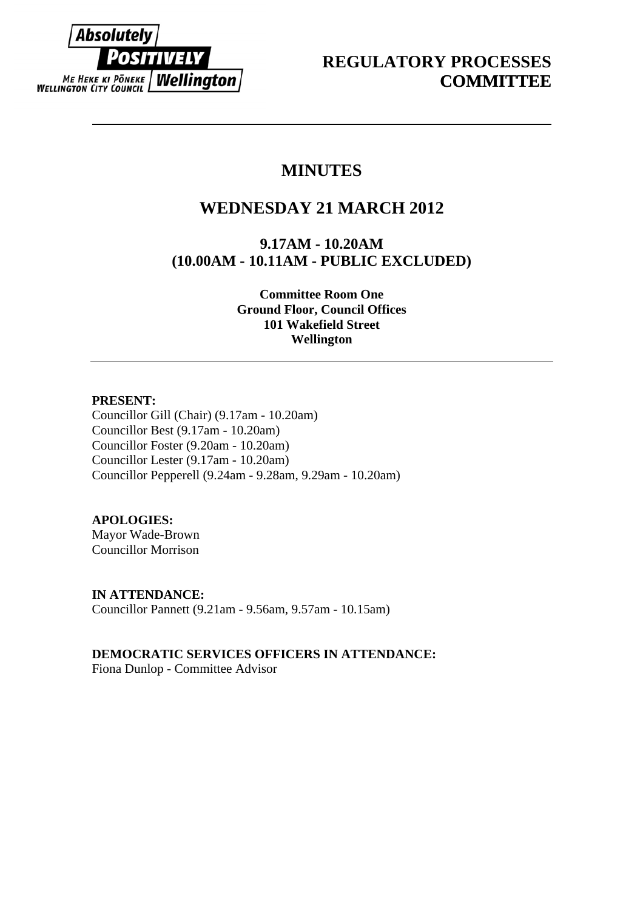

# **MINUTES**

# **WEDNESDAY 21 MARCH 2012**

**9.17AM - 10.20AM (10.00AM - 10.11AM - PUBLIC EXCLUDED)** 

> **Committee Room One Ground Floor, Council Offices 101 Wakefield Street Wellington**

# **PRESENT:**

Councillor Gill (Chair) (9.17am - 10.20am) Councillor Best (9.17am - 10.20am) Councillor Foster (9.20am - 10.20am) Councillor Lester (9.17am - 10.20am) Councillor Pepperell (9.24am - 9.28am, 9.29am - 10.20am)

# **APOLOGIES:**

Mayor Wade-Brown Councillor Morrison

**IN ATTENDANCE:**  Councillor Pannett (9.21am - 9.56am, 9.57am - 10.15am)

**DEMOCRATIC SERVICES OFFICERS IN ATTENDANCE:** 

Fiona Dunlop - Committee Advisor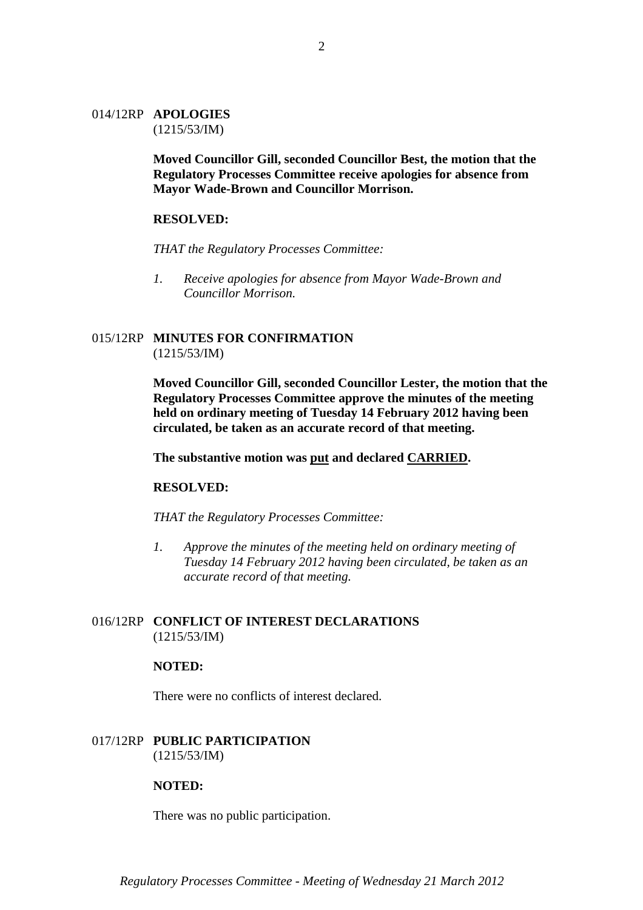#### 014/12RP **APOLOGIES**  (1215/53/IM)

**Moved Councillor Gill, seconded Councillor Best, the motion that the Regulatory Processes Committee receive apologies for absence from Mayor Wade-Brown and Councillor Morrison.** 

#### **RESOLVED:**

*THAT the Regulatory Processes Committee:* 

*1. Receive apologies for absence from Mayor Wade-Brown and Councillor Morrison.* 

## 015/12RP **MINUTES FOR CONFIRMATION** (1215/53/IM)

**Moved Councillor Gill, seconded Councillor Lester, the motion that the Regulatory Processes Committee approve the minutes of the meeting held on ordinary meeting of Tuesday 14 February 2012 having been circulated, be taken as an accurate record of that meeting.** 

#### **The substantive motion was put and declared CARRIED.**

#### **RESOLVED:**

*THAT the Regulatory Processes Committee:* 

*1. Approve the minutes of the meeting held on ordinary meeting of Tuesday 14 February 2012 having been circulated, be taken as an accurate record of that meeting.* 

## 016/12RP **CONFLICT OF INTEREST DECLARATIONS** (1215/53/IM)

#### **NOTED:**

There were no conflicts of interest declared.

## 017/12RP **PUBLIC PARTICIPATION** (1215/53/IM)

#### **NOTED:**

There was no public participation.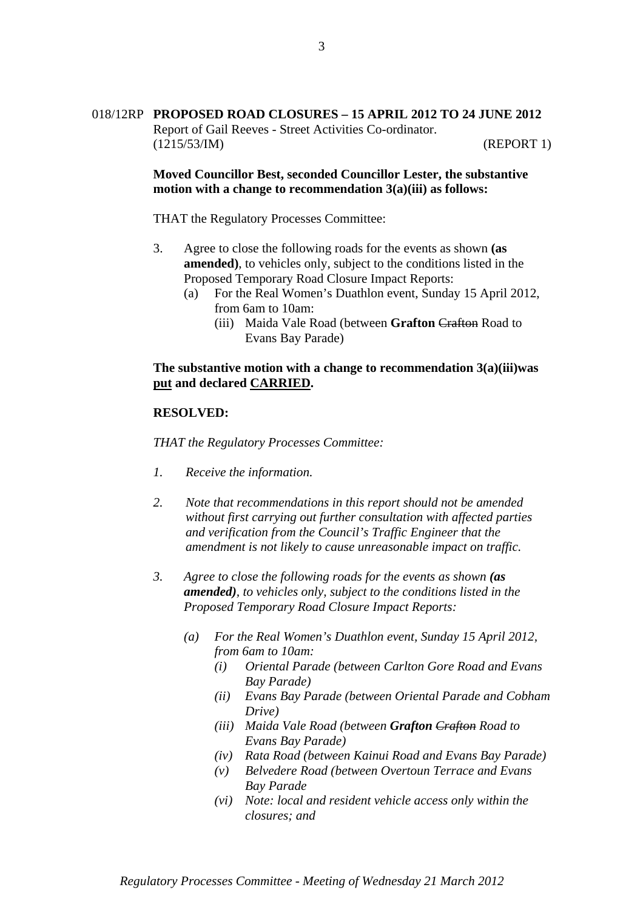# 018/12RP **PROPOSED ROAD CLOSURES – 15 APRIL 2012 TO 24 JUNE 2012** Report of Gail Reeves - Street Activities Co-ordinator. (1215/53/IM) (REPORT 1)

**Moved Councillor Best, seconded Councillor Lester, the substantive motion with a change to recommendation 3(a)(iii) as follows:** 

THAT the Regulatory Processes Committee:

- 3. Agree to close the following roads for the events as shown **(as amended)**, to vehicles only, subject to the conditions listed in the Proposed Temporary Road Closure Impact Reports:
	- (a) For the Real Women's Duathlon event, Sunday 15 April 2012, from 6am to 10am:
		- (iii) Maida Vale Road (between **Grafton** Crafton Road to Evans Bay Parade)

## **The substantive motion with a change to recommendation 3(a)(iii)was put and declared CARRIED.**

#### **RESOLVED:**

*THAT the Regulatory Processes Committee:* 

- *1. Receive the information.*
- *2. Note that recommendations in this report should not be amended without first carrying out further consultation with affected parties and verification from the Council's Traffic Engineer that the amendment is not likely to cause unreasonable impact on traffic.*
- *3. Agree to close the following roads for the events as shown (as amended), to vehicles only, subject to the conditions listed in the Proposed Temporary Road Closure Impact Reports:* 
	- *(a) For the Real Women's Duathlon event, Sunday 15 April 2012, from 6am to 10am:* 
		- *(i) Oriental Parade (between Carlton Gore Road and Evans Bay Parade)*
		- *(ii) Evans Bay Parade (between Oriental Parade and Cobham Drive)*
		- *(iii) Maida Vale Road (between Grafton Crafton Road to Evans Bay Parade)*
		- *(iv) Rata Road (between Kainui Road and Evans Bay Parade)*
		- *(v) Belvedere Road (between Overtoun Terrace and Evans Bay Parade*
		- *(vi) Note: local and resident vehicle access only within the closures; and*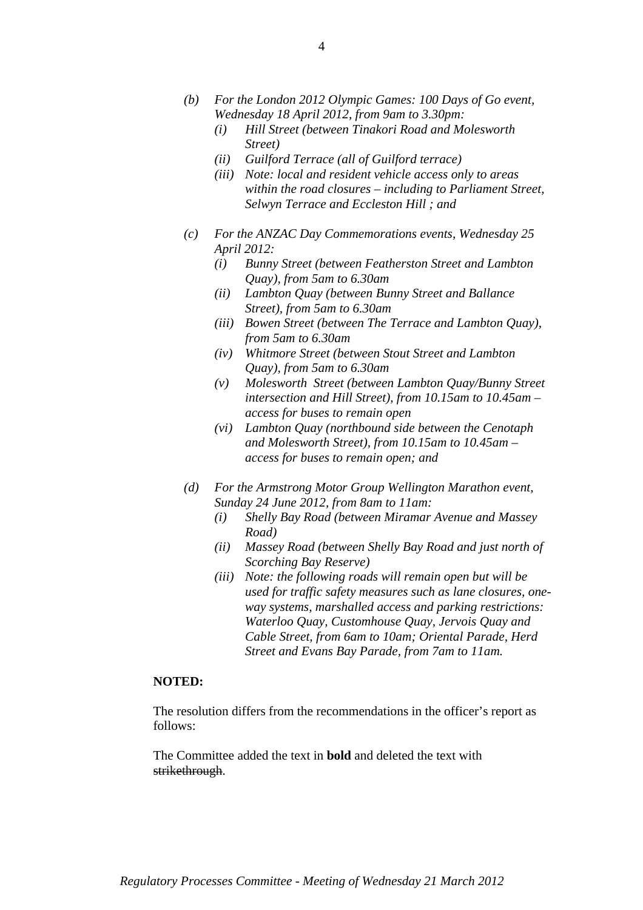- *(b) For the London 2012 Olympic Games: 100 Days of Go event, Wednesday 18 April 2012, from 9am to 3.30pm:* 
	- *(i) Hill Street (between Tinakori Road and Molesworth Street)*
	- *(ii) Guilford Terrace (all of Guilford terrace)*
	- *(iii) Note: local and resident vehicle access only to areas within the road closures – including to Parliament Street, Selwyn Terrace and Eccleston Hill ; and*
- *(c) For the ANZAC Day Commemorations events, Wednesday 25 April 2012:* 
	- *(i) Bunny Street (between Featherston Street and Lambton Quay), from 5am to 6.30am*
	- *(ii) Lambton Quay (between Bunny Street and Ballance Street), from 5am to 6.30am*
	- *(iii) Bowen Street (between The Terrace and Lambton Quay), from 5am to 6.30am*
	- *(iv) Whitmore Street (between Stout Street and Lambton Quay), from 5am to 6.30am*
	- *(v) Molesworth Street (between Lambton Quay/Bunny Street intersection and Hill Street), from 10.15am to 10.45am – access for buses to remain open*
	- *(vi) Lambton Quay (northbound side between the Cenotaph and Molesworth Street), from 10.15am to 10.45am – access for buses to remain open; and*
- *(d) For the Armstrong Motor Group Wellington Marathon event, Sunday 24 June 2012, from 8am to 11am:* 
	- *(i) Shelly Bay Road (between Miramar Avenue and Massey Road)*
	- *(ii) Massey Road (between Shelly Bay Road and just north of Scorching Bay Reserve)*
	- *(iii) Note: the following roads will remain open but will be used for traffic safety measures such as lane closures, oneway systems, marshalled access and parking restrictions: Waterloo Quay, Customhouse Quay, Jervois Quay and Cable Street, from 6am to 10am; Oriental Parade, Herd Street and Evans Bay Parade, from 7am to 11am.*

# **NOTED:**

The resolution differs from the recommendations in the officer's report as follows:

The Committee added the text in **bold** and deleted the text with strikethrough.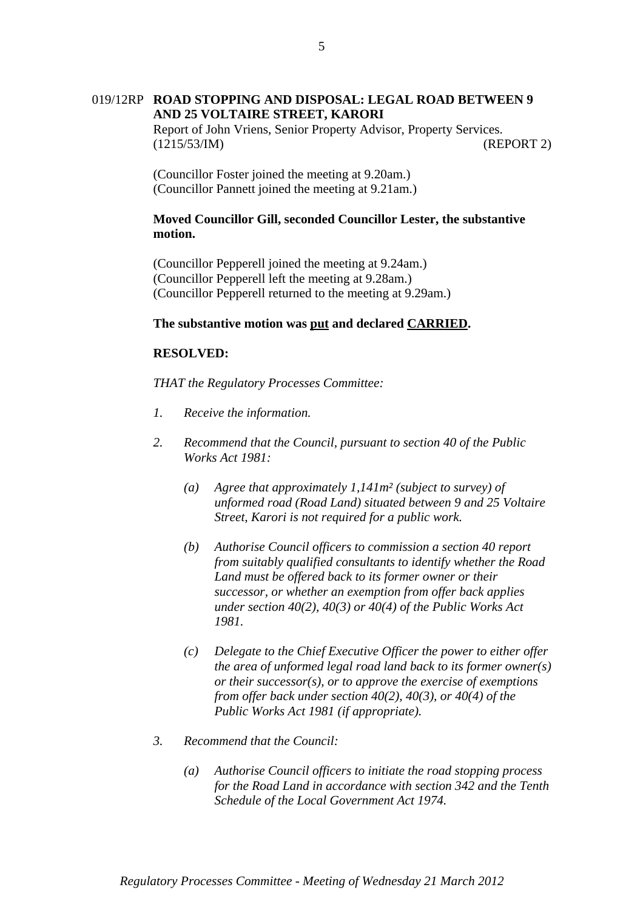# 019/12RP **ROAD STOPPING AND DISPOSAL: LEGAL ROAD BETWEEN 9 AND 25 VOLTAIRE STREET, KARORI**

Report of John Vriens, Senior Property Advisor, Property Services. (1215/53/IM) (REPORT 2)

(Councillor Foster joined the meeting at 9.20am.) (Councillor Pannett joined the meeting at 9.21am.)

## **Moved Councillor Gill, seconded Councillor Lester, the substantive motion.**

(Councillor Pepperell joined the meeting at 9.24am.) (Councillor Pepperell left the meeting at 9.28am.) (Councillor Pepperell returned to the meeting at 9.29am.)

## **The substantive motion was put and declared CARRIED.**

## **RESOLVED:**

- *1. Receive the information.*
- *2. Recommend that the Council, pursuant to section 40 of the Public Works Act 1981:*
	- *(a) Agree that approximately 1,141m² (subject to survey) of unformed road (Road Land) situated between 9 and 25 Voltaire Street, Karori is not required for a public work.*
	- *(b) Authorise Council officers to commission a section 40 report from suitably qualified consultants to identify whether the Road Land must be offered back to its former owner or their successor, or whether an exemption from offer back applies under section 40(2), 40(3) or 40(4) of the Public Works Act 1981.*
	- *(c) Delegate to the Chief Executive Officer the power to either offer the area of unformed legal road land back to its former owner(s) or their successor(s), or to approve the exercise of exemptions from offer back under section 40(2), 40(3), or 40(4) of the Public Works Act 1981 (if appropriate).*
- *3. Recommend that the Council:* 
	- *(a) Authorise Council officers to initiate the road stopping process for the Road Land in accordance with section 342 and the Tenth Schedule of the Local Government Act 1974.*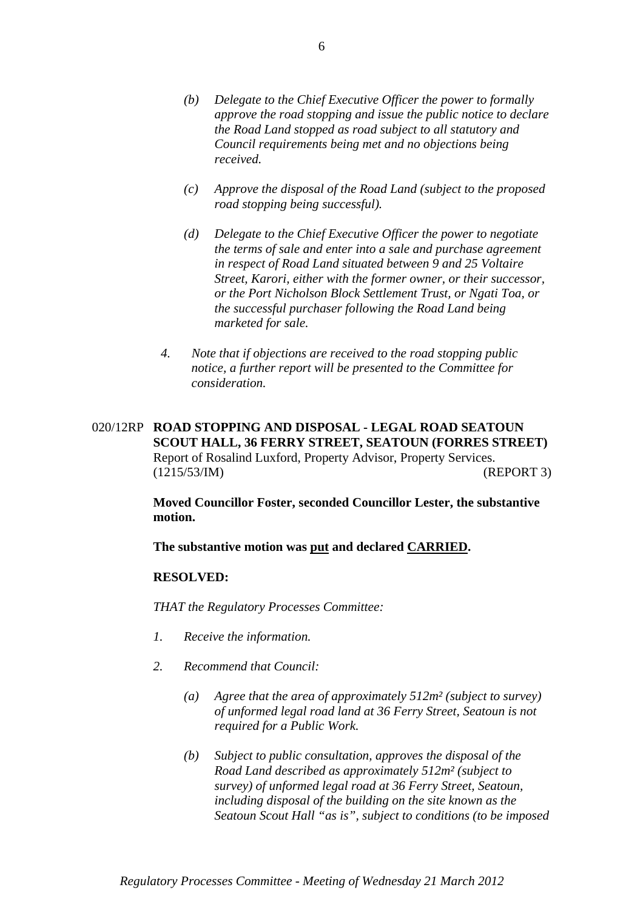- *(c) Approve the disposal of the Road Land (subject to the proposed road stopping being successful).*
- *(d) Delegate to the Chief Executive Officer the power to negotiate the terms of sale and enter into a sale and purchase agreement in respect of Road Land situated between 9 and 25 Voltaire Street, Karori, either with the former owner, or their successor, or the Port Nicholson Block Settlement Trust, or Ngati Toa, or the successful purchaser following the Road Land being marketed for sale.*
- *4. Note that if objections are received to the road stopping public notice, a further report will be presented to the Committee for consideration.*

# 020/12RP **ROAD STOPPING AND DISPOSAL - LEGAL ROAD SEATOUN SCOUT HALL, 36 FERRY STREET, SEATOUN (FORRES STREET)** Report of Rosalind Luxford, Property Advisor, Property Services. (1215/53/IM) (REPORT 3)

**Moved Councillor Foster, seconded Councillor Lester, the substantive motion.** 

**The substantive motion was put and declared CARRIED.** 

## **RESOLVED:**

- *1. Receive the information.*
- *2. Recommend that Council:* 
	- *(a) Agree that the area of approximately 512m² (subject to survey) of unformed legal road land at 36 Ferry Street, Seatoun is not required for a Public Work.*
	- *(b) Subject to public consultation, approves the disposal of the Road Land described as approximately 512m² (subject to survey) of unformed legal road at 36 Ferry Street, Seatoun, including disposal of the building on the site known as the Seatoun Scout Hall "as is", subject to conditions (to be imposed*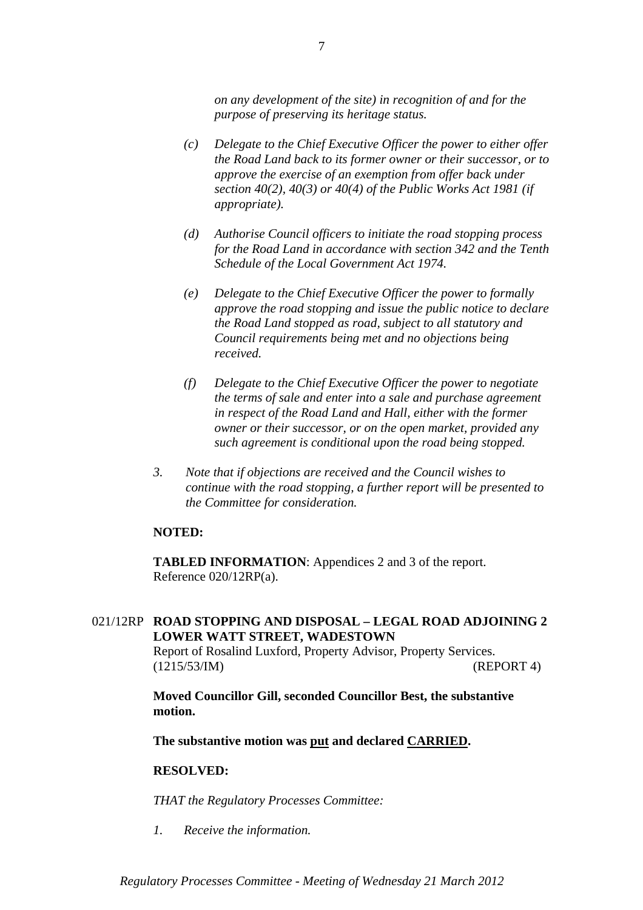*on any development of the site) in recognition of and for the purpose of preserving its heritage status.* 

- *(c) Delegate to the Chief Executive Officer the power to either offer the Road Land back to its former owner or their successor, or to approve the exercise of an exemption from offer back under section 40(2), 40(3) or 40(4) of the Public Works Act 1981 (if appropriate).*
- *(d) Authorise Council officers to initiate the road stopping process for the Road Land in accordance with section 342 and the Tenth Schedule of the Local Government Act 1974.*
- *(e) Delegate to the Chief Executive Officer the power to formally approve the road stopping and issue the public notice to declare the Road Land stopped as road, subject to all statutory and Council requirements being met and no objections being received.*
- *(f) Delegate to the Chief Executive Officer the power to negotiate the terms of sale and enter into a sale and purchase agreement in respect of the Road Land and Hall, either with the former owner or their successor, or on the open market, provided any such agreement is conditional upon the road being stopped.*
- *3. Note that if objections are received and the Council wishes to continue with the road stopping, a further report will be presented to the Committee for consideration.*

## **NOTED:**

**TABLED INFORMATION**: Appendices 2 and 3 of the report. Reference 020/12RP(a).

# 021/12RP **ROAD STOPPING AND DISPOSAL – LEGAL ROAD ADJOINING 2 LOWER WATT STREET, WADESTOWN**

Report of Rosalind Luxford, Property Advisor, Property Services. (1215/53/IM) (REPORT 4)

**Moved Councillor Gill, seconded Councillor Best, the substantive motion.** 

**The substantive motion was put and declared CARRIED.** 

#### **RESOLVED:**

*THAT the Regulatory Processes Committee:*

*1. Receive the information.*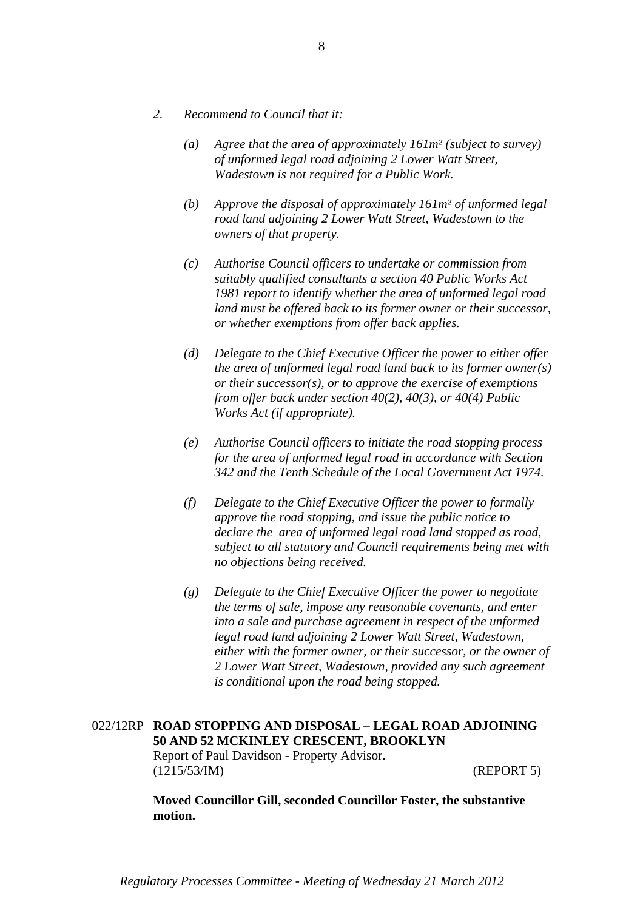- *2. Recommend to Council that it:* 
	- *(a) Agree that the area of approximately 161m² (subject to survey) of unformed legal road adjoining 2 Lower Watt Street, Wadestown is not required for a Public Work.*
	- *(b) Approve the disposal of approximately 161m² of unformed legal road land adjoining 2 Lower Watt Street, Wadestown to the owners of that property.*
	- *(c) Authorise Council officers to undertake or commission from suitably qualified consultants a section 40 Public Works Act 1981 report to identify whether the area of unformed legal road land must be offered back to its former owner or their successor, or whether exemptions from offer back applies.*
	- *(d) Delegate to the Chief Executive Officer the power to either offer the area of unformed legal road land back to its former owner(s) or their successor(s), or to approve the exercise of exemptions from offer back under section 40(2), 40(3), or 40(4) Public Works Act (if appropriate).*
	- *(e) Authorise Council officers to initiate the road stopping process for the area of unformed legal road in accordance with Section 342 and the Tenth Schedule of the Local Government Act 1974.*
	- *(f) Delegate to the Chief Executive Officer the power to formally approve the road stopping, and issue the public notice to declare the area of unformed legal road land stopped as road, subject to all statutory and Council requirements being met with no objections being received.*
	- *(g) Delegate to the Chief Executive Officer the power to negotiate the terms of sale, impose any reasonable covenants, and enter into a sale and purchase agreement in respect of the unformed legal road land adjoining 2 Lower Watt Street, Wadestown, either with the former owner, or their successor, or the owner of 2 Lower Watt Street, Wadestown, provided any such agreement is conditional upon the road being stopped.*

# 022/12RP **ROAD STOPPING AND DISPOSAL – LEGAL ROAD ADJOINING 50 AND 52 MCKINLEY CRESCENT, BROOKLYN** Report of Paul Davidson - Property Advisor. (1215/53/IM) (REPORT 5)

**Moved Councillor Gill, seconded Councillor Foster, the substantive motion.**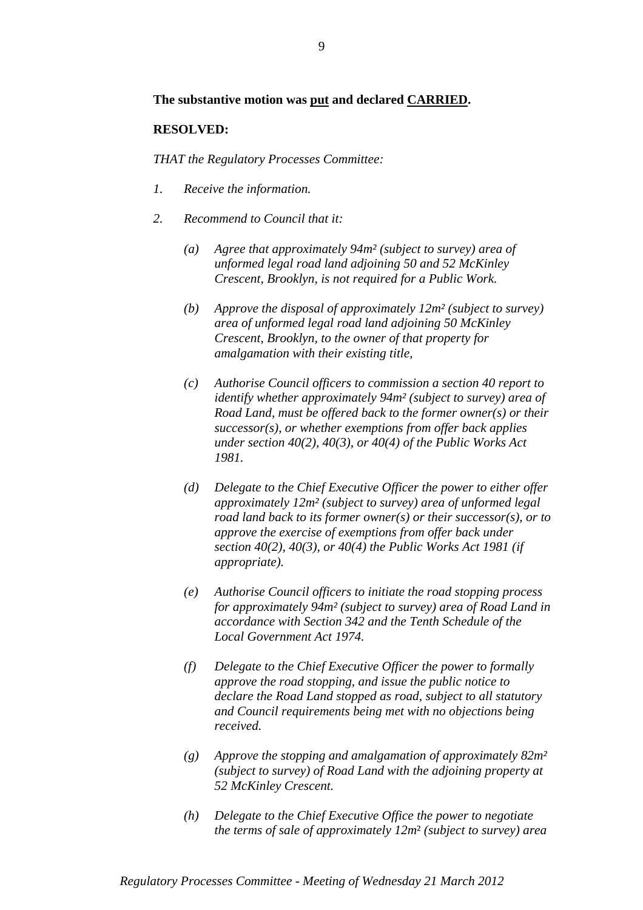## **The substantive motion was put and declared CARRIED.**

## **RESOLVED:**

- *1. Receive the information.*
- *2. Recommend to Council that it:* 
	- *(a) Agree that approximately 94m² (subject to survey) area of unformed legal road land adjoining 50 and 52 McKinley Crescent, Brooklyn, is not required for a Public Work.*
	- *(b) Approve the disposal of approximately 12m² (subject to survey) area of unformed legal road land adjoining 50 McKinley Crescent, Brooklyn, to the owner of that property for amalgamation with their existing title,*
	- *(c) Authorise Council officers to commission a section 40 report to identify whether approximately 94m² (subject to survey) area of Road Land, must be offered back to the former owner(s) or their successor(s), or whether exemptions from offer back applies under section 40(2), 40(3), or 40(4) of the Public Works Act 1981.*
	- *(d) Delegate to the Chief Executive Officer the power to either offer approximately 12m² (subject to survey) area of unformed legal road land back to its former owner(s) or their successor(s), or to approve the exercise of exemptions from offer back under section 40(2), 40(3), or 40(4) the Public Works Act 1981 (if appropriate).*
	- *(e) Authorise Council officers to initiate the road stopping process for approximately 94m² (subject to survey) area of Road Land in accordance with Section 342 and the Tenth Schedule of the Local Government Act 1974.*
	- *(f) Delegate to the Chief Executive Officer the power to formally approve the road stopping, and issue the public notice to declare the Road Land stopped as road, subject to all statutory and Council requirements being met with no objections being received.*
	- *(g) Approve the stopping and amalgamation of approximately 82m² (subject to survey) of Road Land with the adjoining property at 52 McKinley Crescent.*
	- *(h) Delegate to the Chief Executive Office the power to negotiate the terms of sale of approximately 12m*² *(subject to survey) area*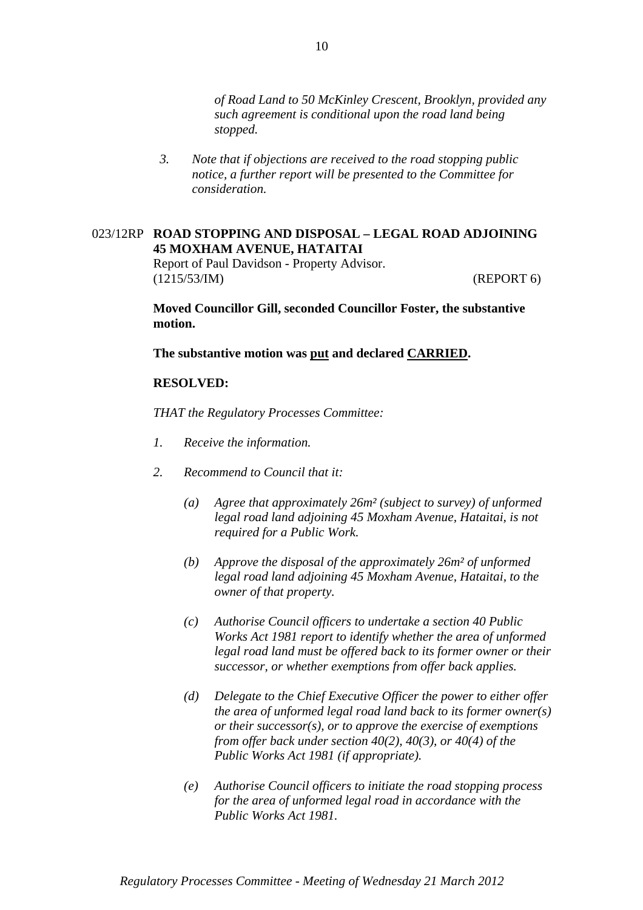*of Road Land to 50 McKinley Crescent, Brooklyn, provided any such agreement is conditional upon the road land being stopped.* 

*3. Note that if objections are received to the road stopping public notice, a further report will be presented to the Committee for consideration.* 

## 023/12RP **ROAD STOPPING AND DISPOSAL – LEGAL ROAD ADJOINING 45 MOXHAM AVENUE, HATAITAI**

Report of Paul Davidson - Property Advisor. (1215/53/IM) (REPORT 6)

**Moved Councillor Gill, seconded Councillor Foster, the substantive motion.** 

**The substantive motion was put and declared CARRIED.** 

#### **RESOLVED:**

- *1. Receive the information.*
- *2. Recommend to Council that it:* 
	- *(a) Agree that approximately 26m² (subject to survey) of unformed legal road land adjoining 45 Moxham Avenue, Hataitai, is not required for a Public Work.*
	- *(b) Approve the disposal of the approximately 26m² of unformed legal road land adjoining 45 Moxham Avenue, Hataitai, to the owner of that property.*
	- *(c) Authorise Council officers to undertake a section 40 Public Works Act 1981 report to identify whether the area of unformed legal road land must be offered back to its former owner or their successor, or whether exemptions from offer back applies.*
	- *(d) Delegate to the Chief Executive Officer the power to either offer the area of unformed legal road land back to its former owner(s) or their successor(s), or to approve the exercise of exemptions from offer back under section 40(2), 40(3), or 40(4) of the Public Works Act 1981 (if appropriate).*
	- *(e) Authorise Council officers to initiate the road stopping process for the area of unformed legal road in accordance with the Public Works Act 1981.*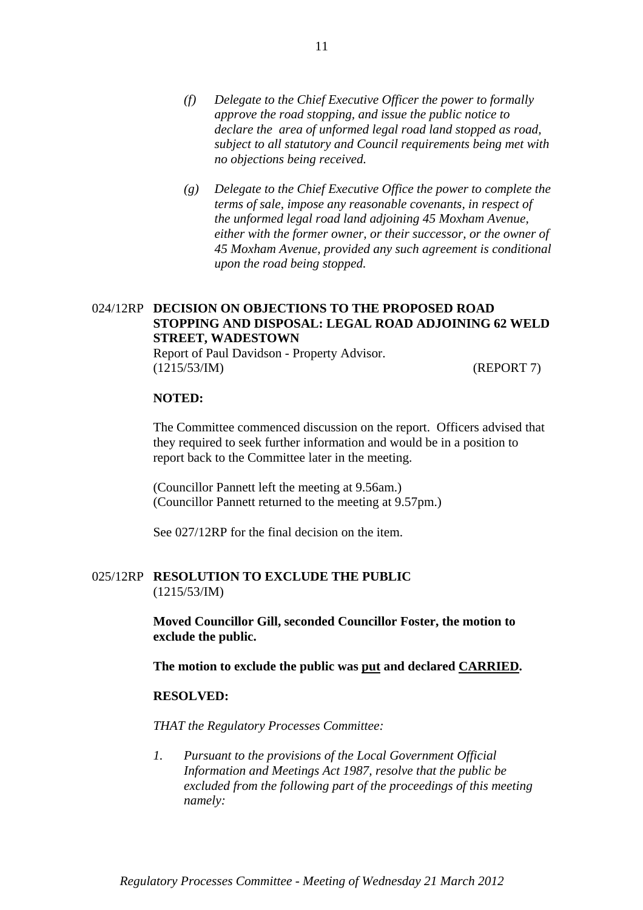- *(f) Delegate to the Chief Executive Officer the power to formally approve the road stopping, and issue the public notice to declare the area of unformed legal road land stopped as road, subject to all statutory and Council requirements being met with no objections being received.*
- *(g) Delegate to the Chief Executive Office the power to complete the terms of sale, impose any reasonable covenants, in respect of the unformed legal road land adjoining 45 Moxham Avenue, either with the former owner, or their successor, or the owner of 45 Moxham Avenue, provided any such agreement is conditional upon the road being stopped.*

# 024/12RP **DECISION ON OBJECTIONS TO THE PROPOSED ROAD STOPPING AND DISPOSAL: LEGAL ROAD ADJOINING 62 WELD STREET, WADESTOWN**

Report of Paul Davidson - Property Advisor. (1215/53/IM) (REPORT 7)

#### **NOTED:**

The Committee commenced discussion on the report. Officers advised that they required to seek further information and would be in a position to report back to the Committee later in the meeting.

(Councillor Pannett left the meeting at 9.56am.) (Councillor Pannett returned to the meeting at 9.57pm.)

See 027/12RP for the final decision on the item.

## 025/12RP **RESOLUTION TO EXCLUDE THE PUBLIC** (1215/53/IM)

**Moved Councillor Gill, seconded Councillor Foster, the motion to exclude the public.** 

**The motion to exclude the public was put and declared CARRIED.** 

#### **RESOLVED:**

*THAT the Regulatory Processes Committee:* 

*1. Pursuant to the provisions of the Local Government Official Information and Meetings Act 1987, resolve that the public be excluded from the following part of the proceedings of this meeting namely:*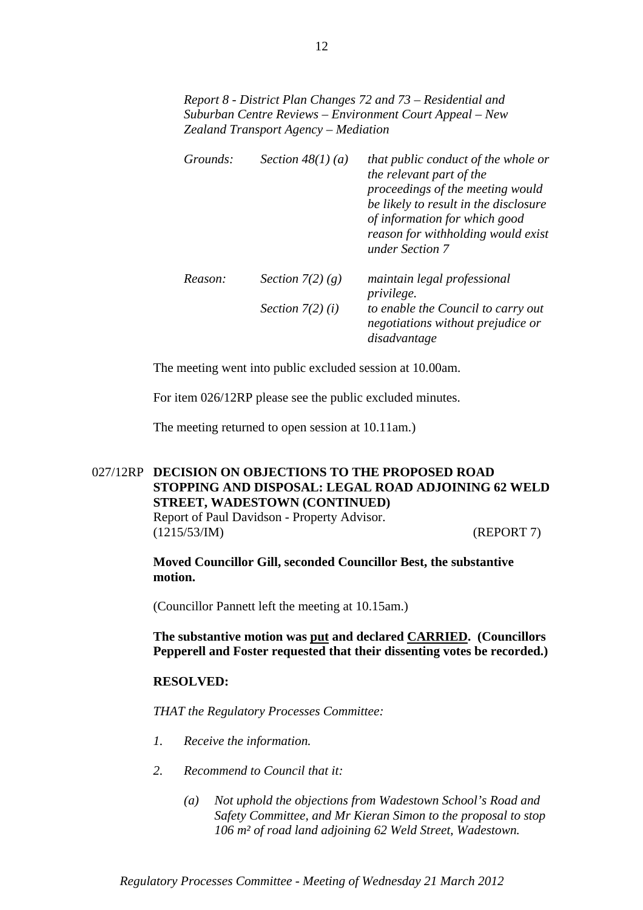*Report 8 - District Plan Changes 72 and 73 – Residential and Suburban Centre Reviews – Environment Court Appeal – New Zealand Transport Agency – Mediation* 

| Grounds: | Section $48(1)(a)$ | that public conduct of the whole or<br>the relevant part of the<br>proceedings of the meeting would<br>be likely to result in the disclosure<br>of information for which good<br>reason for withholding would exist<br>under Section 7 |
|----------|--------------------|----------------------------------------------------------------------------------------------------------------------------------------------------------------------------------------------------------------------------------------|
| Reason:  | Section $7(2)(g)$  | maintain legal professional<br><i>privilege.</i>                                                                                                                                                                                       |
|          | Section $7(2)(i)$  | to enable the Council to carry out<br>negotiations without prejudice or<br>disadvantage                                                                                                                                                |

The meeting went into public excluded session at 10.00am.

For item 026/12RP please see the public excluded minutes.

The meeting returned to open session at 10.11am.)

# 027/12RP **DECISION ON OBJECTIONS TO THE PROPOSED ROAD STOPPING AND DISPOSAL: LEGAL ROAD ADJOINING 62 WELD STREET, WADESTOWN (CONTINUED)** Report of Paul Davidson - Property Advisor. (1215/53/IM) (REPORT 7)

**Moved Councillor Gill, seconded Councillor Best, the substantive motion.** 

(Councillor Pannett left the meeting at 10.15am.)

**The substantive motion was put and declared CARRIED. (Councillors Pepperell and Foster requested that their dissenting votes be recorded.)** 

### **RESOLVED:**

*THAT the Regulatory Processes Committee:*

- *1. Receive the information.*
- *2. Recommend to Council that it:* 
	- *(a) Not uphold the objections from Wadestown School's Road and Safety Committee, and Mr Kieran Simon to the proposal to stop 106 m² of road land adjoining 62 Weld Street, Wadestown.*